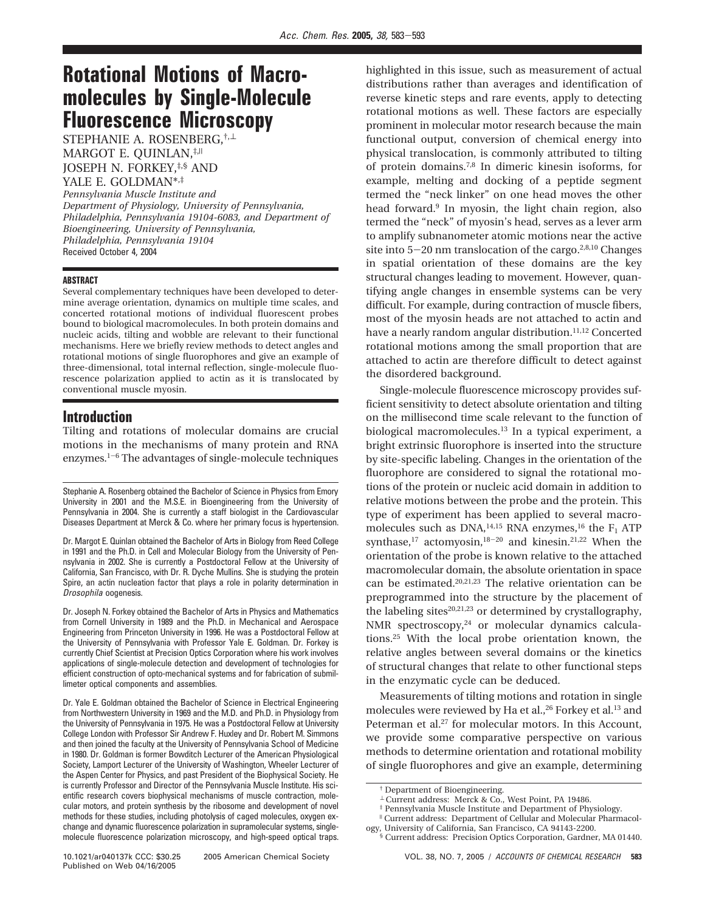# **Rotational Motions of Macromolecules by Single-Molecule Fluorescence Microscopy**

STEPHANIE A. ROSENBERG,†,<sup>⊥</sup> MARGOT E. QUINLAN,  $*$ ,  $||$ JOSEPH N. FORKEY,‡,§ AND

YALE E. GOLDMAN\*,‡

*Pennsylvania Muscle Institute and Department of Physiology, University of Pennsylvania, Philadelphia, Pennsylvania 19104-6083, and Department of Bioengineering, University of Pennsylvania, Philadelphia, Pennsylvania 19104* Received October 4, 2004

#### **ABSTRACT**

Several complementary techniques have been developed to determine average orientation, dynamics on multiple time scales, and concerted rotational motions of individual fluorescent probes bound to biological macromolecules. In both protein domains and nucleic acids, tilting and wobble are relevant to their functional mechanisms. Here we briefly review methods to detect angles and rotational motions of single fluorophores and give an example of three-dimensional, total internal reflection, single-molecule fluorescence polarization applied to actin as it is translocated by conventional muscle myosin.

#### **Introduction**

Tilting and rotations of molecular domains are crucial motions in the mechanisms of many protein and RNA enzymes. $1-6$  The advantages of single-molecule techniques

Stephanie A. Rosenberg obtained the Bachelor of Science in Physics from Emory University in 2001 and the M.S.E. in Bioengineering from the University of Pennsylvania in 2004. She is currently a staff biologist in the Cardiovascular Diseases Department at Merck & Co. where her primary focus is hypertension.

Dr. Margot E. Quinlan obtained the Bachelor of Arts in Biology from Reed College in 1991 and the Ph.D. in Cell and Molecular Biology from the University of Pennsylvania in 2002. She is currently a Postdoctoral Fellow at the University of California, San Francisco, with Dr. R. Dyche Mullins. She is studying the protein Spire, an actin nucleation factor that plays a role in polarity determination in Drosophila oogenesis.

Dr. Joseph N. Forkey obtained the Bachelor of Arts in Physics and Mathematics from Cornell University in 1989 and the Ph.D. in Mechanical and Aerospace Engineering from Princeton University in 1996. He was a Postdoctoral Fellow at the University of Pennsylvania with Professor Yale E. Goldman. Dr. Forkey is currently Chief Scientist at Precision Optics Corporation where his work involves applications of single-molecule detection and development of technologies for efficient construction of opto-mechanical systems and for fabrication of submillimeter optical components and assemblies.

Dr. Yale E. Goldman obtained the Bachelor of Science in Electrical Engineering from Northwestern University in 1969 and the M.D. and Ph.D. in Physiology from the University of Pennsylvania in 1975. He was a Postdoctoral Fellow at University College London with Professor Sir Andrew F. Huxley and Dr. Robert M. Simmons and then joined the faculty at the University of Pennsylvania School of Medicine in 1980. Dr. Goldman is former Bowditch Lecturer of the American Physiological Society, Lamport Lecturer of the University of Washington, Wheeler Lecturer of the Aspen Center for Physics, and past President of the Biophysical Society. He is currently Professor and Director of the Pennsylvania Muscle Institute. His scientific research covers biophysical mechanisms of muscle contraction, molecular motors, and protein synthesis by the ribosome and development of novel methods for these studies, including photolysis of caged molecules, oxygen exchange and dynamic fluorescence polarization in supramolecular systems, singlemolecule fluorescence polarization microscopy, and high-speed optical traps.

highlighted in this issue, such as measurement of actual distributions rather than averages and identification of reverse kinetic steps and rare events, apply to detecting rotational motions as well. These factors are especially prominent in molecular motor research because the main functional output, conversion of chemical energy into physical translocation, is commonly attributed to tilting of protein domains.7,8 In dimeric kinesin isoforms, for example, melting and docking of a peptide segment termed the "neck linker" on one head moves the other head forward.9 In myosin, the light chain region, also termed the "neck" of myosin's head, serves as a lever arm to amplify subnanometer atomic motions near the active site into  $5-20$  nm translocation of the cargo.<sup>2,8,10</sup> Changes in spatial orientation of these domains are the key structural changes leading to movement. However, quantifying angle changes in ensemble systems can be very difficult. For example, during contraction of muscle fibers, most of the myosin heads are not attached to actin and have a nearly random angular distribution.<sup>11,12</sup> Concerted rotational motions among the small proportion that are attached to actin are therefore difficult to detect against the disordered background.

Single-molecule fluorescence microscopy provides sufficient sensitivity to detect absolute orientation and tilting on the millisecond time scale relevant to the function of biological macromolecules.<sup>13</sup> In a typical experiment, a bright extrinsic fluorophore is inserted into the structure by site-specific labeling. Changes in the orientation of the fluorophore are considered to signal the rotational motions of the protein or nucleic acid domain in addition to relative motions between the probe and the protein. This type of experiment has been applied to several macromolecules such as  $DNA$ ,<sup>14,15</sup> RNA enzymes,<sup>16</sup> the  $F_1$  ATP synthase,<sup>17</sup> actomyosin,<sup>18-20</sup> and kinesin.<sup>21,22</sup> When the orientation of the probe is known relative to the attached macromolecular domain, the absolute orientation in space can be estimated.20,21,23 The relative orientation can be preprogrammed into the structure by the placement of the labeling sites<sup>20,21,23</sup> or determined by crystallography, NMR spectroscopy, $24$  or molecular dynamics calculations.25 With the local probe orientation known, the relative angles between several domains or the kinetics of structural changes that relate to other functional steps in the enzymatic cycle can be deduced.

Measurements of tilting motions and rotation in single molecules were reviewed by Ha et al.,<sup>26</sup> Forkey et al.<sup>13</sup> and Peterman et al.<sup>27</sup> for molecular motors. In this Account, we provide some comparative perspective on various methods to determine orientation and rotational mobility of single fluorophores and give an example, determining

<sup>†</sup> Department of Bioengineering.

<sup>⊥</sup> Current address: Merck & Co., West Point, PA 19486.

<sup>‡</sup> Pennsylvania Muscle Institute and Department of Physiology.

<sup>|</sup> Current address: Department of Cellular and Molecular Pharmacology, University of California, San Francisco, CA 94143-2200.

<sup>§</sup> Current address: Precision Optics Corporation, Gardner, MA 01440.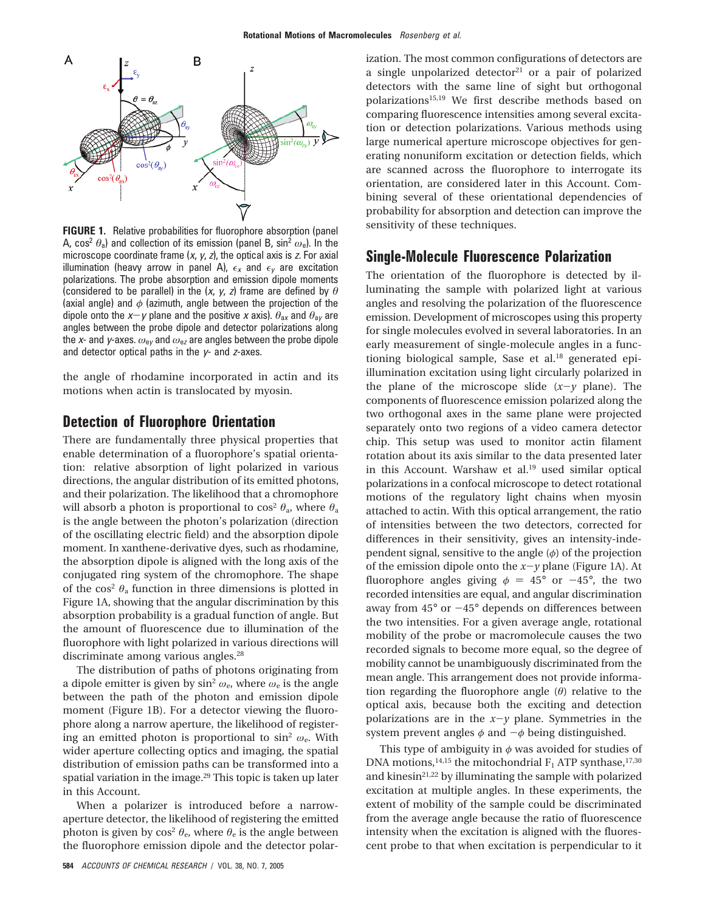

**FIGURE 1.** Relative probabilities for fluorophore absorption (panel A, cos<sup>2</sup>  $\theta$ <sub>a</sub>) and collection of its emission (panel B, sin<sup>2</sup>  $\omega$ <sub>e</sub>). In the microscope coordinate frame  $(x, y, z)$ , the optical axis is z. For axial illumination (heavy arrow in panel A),  $\epsilon_x$  and  $\epsilon_y$  are excitation polarizations. The probe absorption and emission dipole moments (considered to be parallel) in the (x, <sup>y</sup>, <sup>z</sup>) frame are defined by *θ* (axial angle) and *φ* (azimuth, angle between the projection of the dipole onto the  $x-y$  plane and the positive x axis).  $\theta_{ax}$  and  $\theta_{ay}$  are angles between the probe dipole and detector polarizations along the <sup>x</sup>- and <sup>y</sup>-axes. *ω*<sup>e</sup><sup>y</sup> and *ω*<sup>e</sup><sup>z</sup> are angles between the probe dipole and detector optical paths in the  $y$ - and  $z$ -axes.

the angle of rhodamine incorporated in actin and its motions when actin is translocated by myosin.

### **Detection of Fluorophore Orientation**

There are fundamentally three physical properties that enable determination of a fluorophore's spatial orientation: relative absorption of light polarized in various directions, the angular distribution of its emitted photons, and their polarization. The likelihood that a chromophore will absorb a photon is proportional to cos<sup>2</sup>  $\theta_a$ , where  $\theta_a$ is the angle between the photon's polarization (direction of the oscillating electric field) and the absorption dipole moment. In xanthene-derivative dyes, such as rhodamine, the absorption dipole is aligned with the long axis of the conjugated ring system of the chromophore. The shape of the cos<sup>2</sup>  $\theta_a$  function in three dimensions is plotted in Figure 1A, showing that the angular discrimination by this absorption probability is a gradual function of angle. But the amount of fluorescence due to illumination of the fluorophore with light polarized in various directions will discriminate among various angles.<sup>28</sup>

The distribution of paths of photons originating from a dipole emitter is given by  $\sin^2 \omega_e$ , where  $\omega_e$  is the angle between the path of the photon and emission dipole moment (Figure 1B). For a detector viewing the fluorophore along a narrow aperture, the likelihood of registering an emitted photon is proportional to sin2 *ω*e. With wider aperture collecting optics and imaging, the spatial distribution of emission paths can be transformed into a spatial variation in the image.<sup>29</sup> This topic is taken up later in this Account.

When a polarizer is introduced before a narrowaperture detector, the likelihood of registering the emitted photon is given by  $\cos^2 \theta_e$ , where  $\theta_e$  is the angle between the fluorophore emission dipole and the detector polarization. The most common configurations of detectors are a single unpolarized detector<sup>21</sup> or a pair of polarized detectors with the same line of sight but orthogonal polarizations15,19 We first describe methods based on comparing fluorescence intensities among several excitation or detection polarizations. Various methods using large numerical aperture microscope objectives for generating nonuniform excitation or detection fields, which are scanned across the fluorophore to interrogate its orientation, are considered later in this Account. Combining several of these orientational dependencies of probability for absorption and detection can improve the sensitivity of these techniques.

### **Single-Molecule Fluorescence Polarization**

The orientation of the fluorophore is detected by illuminating the sample with polarized light at various angles and resolving the polarization of the fluorescence emission. Development of microscopes using this property for single molecules evolved in several laboratories. In an early measurement of single-molecule angles in a functioning biological sample, Sase et al.<sup>18</sup> generated epiillumination excitation using light circularly polarized in the plane of the microscope slide  $(x-y)$  plane). The components of fluorescence emission polarized along the two orthogonal axes in the same plane were projected separately onto two regions of a video camera detector chip. This setup was used to monitor actin filament rotation about its axis similar to the data presented later in this Account. Warshaw et al.<sup>19</sup> used similar optical polarizations in a confocal microscope to detect rotational motions of the regulatory light chains when myosin attached to actin. With this optical arrangement, the ratio of intensities between the two detectors, corrected for differences in their sensitivity, gives an intensity-independent signal, sensitive to the angle (*φ*) of the projection of the emission dipole onto the  $x-y$  plane (Figure 1A). At fluorophore angles giving  $\phi = 45^{\circ}$  or  $-45^{\circ}$ , the two recorded intensities are equal, and angular discrimination away from  $45^{\circ}$  or  $-45^{\circ}$  depends on differences between the two intensities. For a given average angle, rotational mobility of the probe or macromolecule causes the two recorded signals to become more equal, so the degree of mobility cannot be unambiguously discriminated from the mean angle. This arrangement does not provide information regarding the fluorophore angle (*θ*) relative to the optical axis, because both the exciting and detection polarizations are in the  $x-y$  plane. Symmetries in the system prevent angles  $\phi$  and  $-\phi$  being distinguished.

This type of ambiguity in *φ* was avoided for studies of DNA motions,<sup>14,15</sup> the mitochondrial  $F_1$  ATP synthase,<sup>17,30</sup> and kinesin<sup>21,22</sup> by illuminating the sample with polarized excitation at multiple angles. In these experiments, the extent of mobility of the sample could be discriminated from the average angle because the ratio of fluorescence intensity when the excitation is aligned with the fluorescent probe to that when excitation is perpendicular to it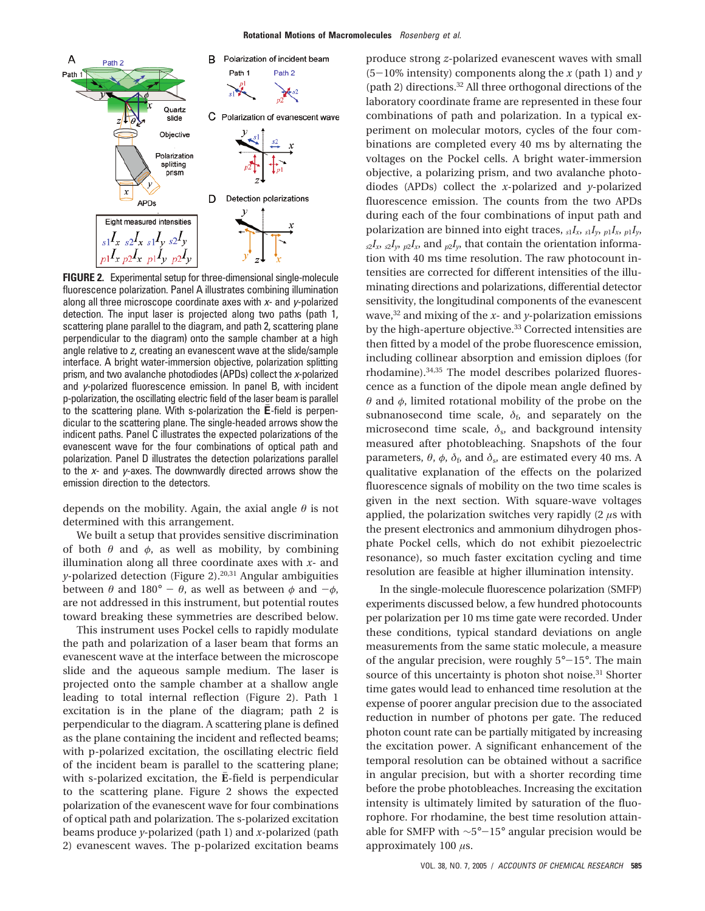

**FIGURE 2.** Experimental setup for three-dimensional single-molecule fluorescence polarization. Panel A illustrates combining illumination along all three microscope coordinate axes with  $x$ - and  $y$ -polarized detection. The input laser is projected along two paths (path 1, scattering plane parallel to the diagram, and path 2, scattering plane perpendicular to the diagram) onto the sample chamber at a high angle relative to <sup>z</sup>, creating an evanescent wave at the slide/sample interface. A bright water-immersion objective, polarization splitting prism, and two avalanche photodiodes (APDs) collect the x-polarized and <sup>y</sup>-polarized fluorescence emission. In panel B, with incident p-polarization, the oscillating electric field of the laser beam is parallel to the scattering plane. With s-polarization the  $\bar{\mathsf{E}}$ -field is perpendicular to the scattering plane. The single-headed arrows show the indicent paths. Panel C illustrates the expected polarizations of the evanescent wave for the four combinations of optical path and polarization. Panel D illustrates the detection polarizations parallel to the <sup>x</sup>- and <sup>y</sup>-axes. The downwardly directed arrows show the emission direction to the detectors.

depends on the mobility. Again, the axial angle *θ* is not determined with this arrangement.

We built a setup that provides sensitive discrimination of both  $\theta$  and  $\phi$ , as well as mobility, by combining illumination along all three coordinate axes with *x*- and *y*-polarized detection (Figure 2).<sup>20,31</sup> Angular ambiguities between  $\theta$  and 180° -  $\theta$ , as well as between  $\phi$  and - $\phi$ , are not addressed in this instrument, but potential routes toward breaking these symmetries are described below.

This instrument uses Pockel cells to rapidly modulate the path and polarization of a laser beam that forms an evanescent wave at the interface between the microscope slide and the aqueous sample medium. The laser is projected onto the sample chamber at a shallow angle leading to total internal reflection (Figure 2). Path 1 excitation is in the plane of the diagram; path 2 is perpendicular to the diagram. A scattering plane is defined as the plane containing the incident and reflected beams; with p-polarized excitation, the oscillating electric field of the incident beam is parallel to the scattering plane; with s-polarized excitation, the E-field is perpendicular to the scattering plane. Figure 2 shows the expected polarization of the evanescent wave for four combinations of optical path and polarization. The s-polarized excitation beams produce *y*-polarized (path 1) and *x*-polarized (path 2) evanescent waves. The p-polarized excitation beams

produce strong *z*-polarized evanescent waves with small  $(5-10\%$  intensity) components along the *x* (path 1) and *y* (path 2) directions.32 All three orthogonal directions of the laboratory coordinate frame are represented in these four combinations of path and polarization. In a typical experiment on molecular motors, cycles of the four combinations are completed every 40 ms by alternating the voltages on the Pockel cells. A bright water-immersion objective, a polarizing prism, and two avalanche photodiodes (APDs) collect the *x*-polarized and *y*-polarized fluorescence emission. The counts from the two APDs during each of the four combinations of input path and polarization are binned into eight traces,  $_{s_1}I_{x_1}I_{y_1}I_{y_1}I_{y_2}I_{y_3}I_{y_4}I_{y_5}I_{y_6}I_{y_7}I_{y_8}I_{y_9}I_{y_9}I_{y_1}I_{y_1}I_{y_2}I_{y_3}I_{y_4}I_{y_5}I_{y_7}I_{y_8}I_{y_9}I_{y_9}I_{y_1}I_{y_1}I_{y_2}I_{y_3}I_{y_4}I_{y_5}I_{y_$  $s_2I_x$ ,  $s_2I_y$ ,  $p_2I_x$ , and  $p_2I_y$ , that contain the orientation information with 40 ms time resolution. The raw photocount intensities are corrected for different intensities of the illuminating directions and polarizations, differential detector sensitivity, the longitudinal components of the evanescent wave,  $32$  and mixing of the *x*- and *y*-polarization emissions by the high-aperture objective.33 Corrected intensities are then fitted by a model of the probe fluorescence emission, including collinear absorption and emission diploes (for rhodamine).34,35 The model describes polarized fluorescence as a function of the dipole mean angle defined by *θ* and *φ*, limited rotational mobility of the probe on the subnanosecond time scale,  $\delta_f$ , and separately on the microsecond time scale,  $\delta_s$ , and background intensity measured after photobleaching. Snapshots of the four parameters,  $\theta$ ,  $\phi$ ,  $\delta$ <sub>f</sub>, and  $\delta$ <sub>s</sub>, are estimated every 40 ms. A qualitative explanation of the effects on the polarized fluorescence signals of mobility on the two time scales is given in the next section. With square-wave voltages applied, the polarization switches very rapidly (2 *µ*s with the present electronics and ammonium dihydrogen phosphate Pockel cells, which do not exhibit piezoelectric resonance), so much faster excitation cycling and time resolution are feasible at higher illumination intensity.

In the single-molecule fluorescence polarization (SMFP) experiments discussed below, a few hundred photocounts per polarization per 10 ms time gate were recorded. Under these conditions, typical standard deviations on angle measurements from the same static molecule, a measure of the angular precision, were roughly  $5^{\circ}-15^{\circ}$ . The main source of this uncertainty is photon shot noise.<sup>31</sup> Shorter time gates would lead to enhanced time resolution at the expense of poorer angular precision due to the associated reduction in number of photons per gate. The reduced photon count rate can be partially mitigated by increasing the excitation power. A significant enhancement of the temporal resolution can be obtained without a sacrifice in angular precision, but with a shorter recording time before the probe photobleaches. Increasing the excitation intensity is ultimately limited by saturation of the fluorophore. For rhodamine, the best time resolution attainable for SMFP with <sup>∼</sup>5°-15° angular precision would be approximately 100 *µ*s.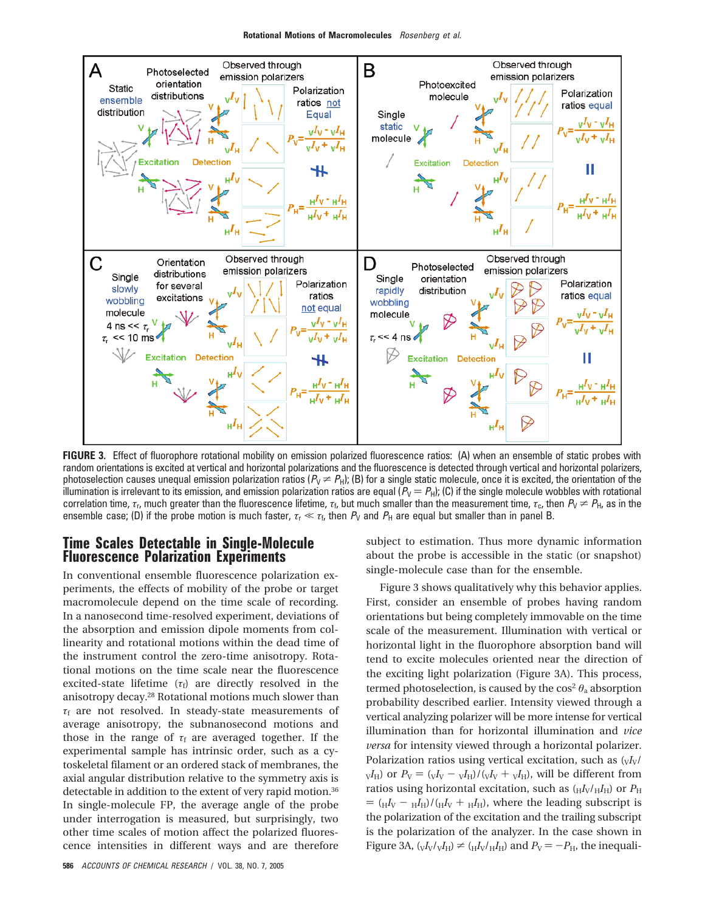

**FIGURE 3.** Effect of fluorophore rotational mobility on emission polarized fluorescence ratios: (A) when an ensemble of static probes with random orientations is excited at vertical and horizontal polarizations and the fluorescence is detected through vertical and horizontal polarizers, photoselection causes unequal emission polarization ratios ( $P_V \neq P_H$ ); (B) for a single static molecule, once it is excited, the orientation of the illumination is irrelevant to its emission, and emission polarization ratios are equal  $(P_V = P_H)$ ; (C) if the single molecule wobbles with rotational correlation time,  $\tau_{tr}$  much greater than the fluorescence lifetime,  $\tau_{tr}$  but much smaller than the measurement time,  $\tau_{cr}$ , then  $P_V \neq P_H$ , as in the ensemble case; (D) if the probe motion is much faster,  $\tau_r \ll \tau_t$ , then  $P_V$  and  $P_H$  are equal but smaller than in panel B.

## **Time Scales Detectable in Single-Molecule Fluorescence Polarization Experiments**

In conventional ensemble fluorescence polarization experiments, the effects of mobility of the probe or target macromolecule depend on the time scale of recording. In a nanosecond time-resolved experiment, deviations of the absorption and emission dipole moments from collinearity and rotational motions within the dead time of the instrument control the zero-time anisotropy. Rotational motions on the time scale near the fluorescence excited-state lifetime  $(\tau_f)$  are directly resolved in the anisotropy decay.28 Rotational motions much slower than *τ*<sup>f</sup> are not resolved. In steady-state measurements of average anisotropy, the subnanosecond motions and those in the range of  $\tau_f$  are averaged together. If the experimental sample has intrinsic order, such as a cytoskeletal filament or an ordered stack of membranes, the axial angular distribution relative to the symmetry axis is detectable in addition to the extent of very rapid motion.<sup>36</sup> In single-molecule FP, the average angle of the probe under interrogation is measured, but surprisingly, two other time scales of motion affect the polarized fluorescence intensities in different ways and are therefore

subject to estimation. Thus more dynamic information about the probe is accessible in the static (or snapshot) single-molecule case than for the ensemble.

Figure 3 shows qualitatively why this behavior applies. First, consider an ensemble of probes having random orientations but being completely immovable on the time scale of the measurement. Illumination with vertical or horizontal light in the fluorophore absorption band will tend to excite molecules oriented near the direction of the exciting light polarization (Figure 3A). This process, termed photoselection, is caused by the  $\cos^2\theta_a$  absorption probability described earlier. Intensity viewed through a vertical analyzing polarizer will be more intense for vertical illumination than for horizontal illumination and *vice versa* for intensity viewed through a horizontal polarizer. Polarization ratios using vertical excitation, such as  $\frac{V}{V}$  $V_{\text{V}}$ ) or  $P_{\text{V}} = (V_{\text{V}} - V_{\text{H}})/(V_{\text{V}} + V_{\text{H}})$ , will be different from ratios using horizontal excitation, such as  $(H_{\rm H} / H_{\rm H})$  or  $P_{\rm H}$  $=$   $(H_{\text{H}} - H_{\text{H}})/(H_{\text{H}} + H_{\text{H}})$ , where the leading subscript is the polarization of the excitation and the trailing subscript is the polarization of the analyzer. In the case shown in Figure 3A,  $\left(\frac{V}{V} / \sqrt{H_H}}\right) \neq \left(\frac{H}{V} / \frac{H_H}{H_H}\right)$  and  $P_V = -P_H$ , the inequali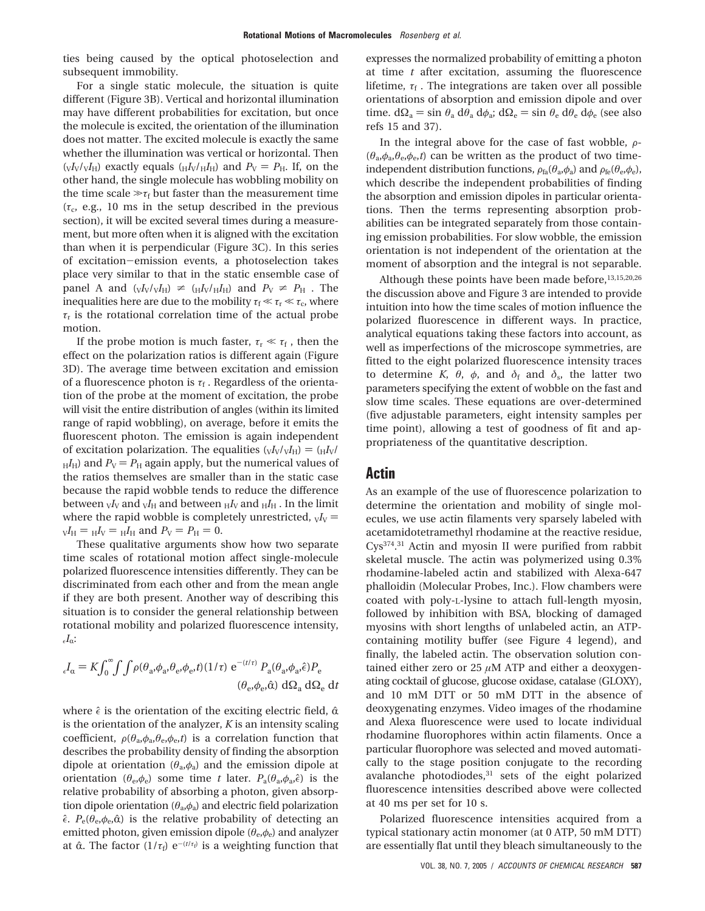ties being caused by the optical photoselection and subsequent immobility.

For a single static molecule, the situation is quite different (Figure 3B). Vertical and horizontal illumination may have different probabilities for excitation, but once the molecule is excited, the orientation of the illumination does not matter. The excited molecule is exactly the same whether the illumination was vertical or horizontal. Then  $(V_{\rm V}/V_{\rm H})$  exactly equals  $(V_{\rm H}/V_{\rm H}I_{\rm H})$  and  $P_{\rm V} = P_{\rm H}$ . If, on the other hand, the single molecule has wobbling mobility on the time scale  $\gg$  $\tau_f$  but faster than the measurement time  $(\tau_c, e.g., 10 \text{ ms in the setup described in the previous})$ section), it will be excited several times during a measurement, but more often when it is aligned with the excitation than when it is perpendicular (Figure 3C). In this series of excitation-emission events, a photoselection takes place very similar to that in the static ensemble case of panel A and  $(vI_V/vI_H) \neq (H_V/H_H)$  and  $P_V \neq P_H$ . The inequalities here are due to the mobility  $\tau_f \ll \tau_r \ll \tau_c$ , where  $\tau_r$  is the rotational correlation time of the actual probe motion.

If the probe motion is much faster,  $\tau_{\rm r} \ll \tau_{\rm f}$ , then the effect on the polarization ratios is different again (Figure 3D). The average time between excitation and emission of a fluorescence photon is  $\tau_f$ . Regardless of the orientation of the probe at the moment of excitation, the probe will visit the entire distribution of angles (within its limited range of rapid wobbling), on average, before it emits the fluorescent photon. The emission is again independent of excitation polarization. The equalities  $({\rm v}I_{\rm V}/{\rm v}I_{\rm H}) = ({\rm H}I_{\rm V}/I_{\rm V})$  $H_H$ ) and  $P_V = P_H$  again apply, but the numerical values of the ratios themselves are smaller than in the static case because the rapid wobble tends to reduce the difference between  $_{\rm V}$ *I*<sub>V</sub> and  $_{\rm V}$ *I*<sub>H</sub> and between  $_{\rm H}$ *I*<sub>V</sub> and  $_{\rm H}$ *I*<sub>H</sub>. In the limit where the rapid wobble is completely unrestricted,  $vI_V$  =  $V_{V}I_{H} = H_{V} = H_{H}$  and  $P_{V} = P_{H} = 0$ .

These qualitative arguments show how two separate time scales of rotational motion affect single-molecule polarized fluorescence intensities differently. They can be discriminated from each other and from the mean angle if they are both present. Another way of describing this situation is to consider the general relationship between rotational mobility and polarized fluorescence intensity,  $I_{\alpha}$ :

$$
{}_{\epsilon}I_{\alpha} = K \int_0^{\infty} \int \int \rho(\theta_a, \phi_a, \theta_e, \phi_e, t) (1/\tau) e^{-(t/\tau)} P_a(\theta_a, \phi_a, \hat{\epsilon}) P_e
$$
  

$$
(\theta_e, \phi_e, \hat{\alpha}) d\Omega_a d\Omega_e dt
$$

where  $\hat{\epsilon}$  is the orientation of the exciting electric field,  $\hat{\alpha}$ is the orientation of the analyzer, *K* is an intensity scaling coefficient,  $\rho(\theta_a, \phi_a, \theta_e, \phi_e, t)$  is a correlation function that describes the probability density of finding the absorption dipole at orientation (*θ*a,*φ*a) and the emission dipole at orientation ( $\theta_e$ , $\phi_e$ ) some time *t* later.  $P_a(\theta_a, \phi_a, \hat{\epsilon})$  is the relative probability of absorbing a photon, given absorption dipole orientation  $(\theta_a, \phi_a)$  and electric field polarization  $\hat{\epsilon}$ .  $P_e(\theta_e, \phi_e, \hat{\alpha})$  is the relative probability of detecting an emitted photon, given emission dipole (*θ*e,*φ*e) and analyzer at  $\hat{\alpha}$ . The factor  $(1/\tau_f) e^{-(t/\tau_f)}$  is a weighting function that

expresses the normalized probability of emitting a photon at time *t* after excitation, assuming the fluorescence lifetime,  $\tau_f$ . The integrations are taken over all possible orientations of absorption and emission dipole and over time.  $d\Omega_a = \sin \theta_a d\theta_a d\phi_a$ ;  $d\Omega_e = \sin \theta_e d\theta_e d\phi_e$  (see also refs 15 and 37).

In the integral above for the case of fast wobble,  $\rho$ - $(\theta_a, \phi_a, \theta_e, \phi_e, t)$  can be written as the product of two timeindependent distribution functions,  $\rho_{fa}(\theta_a, \phi_a)$  and  $\rho_{fe}(\theta_e, \phi_e)$ , which describe the independent probabilities of finding the absorption and emission dipoles in particular orientations. Then the terms representing absorption probabilities can be integrated separately from those containing emission probabilities. For slow wobble, the emission orientation is not independent of the orientation at the moment of absorption and the integral is not separable.

Although these points have been made before, $13,15,20,26$ the discussion above and Figure 3 are intended to provide intuition into how the time scales of motion influence the polarized fluorescence in different ways. In practice, analytical equations taking these factors into account, as well as imperfections of the microscope symmetries, are fitted to the eight polarized fluorescence intensity traces to determine *K*,  $θ$ ,  $φ$ , and  $δ$ <sub>f</sub> and  $δ$ <sub>s</sub>, the latter two parameters specifying the extent of wobble on the fast and slow time scales. These equations are over-determined (five adjustable parameters, eight intensity samples per time point), allowing a test of goodness of fit and appropriateness of the quantitative description.

#### **Actin**

As an example of the use of fluorescence polarization to determine the orientation and mobility of single molecules, we use actin filaments very sparsely labeled with acetamidotetramethyl rhodamine at the reactive residue, Cys374. <sup>31</sup> Actin and myosin II were purified from rabbit skeletal muscle. The actin was polymerized using 0.3% rhodamine-labeled actin and stabilized with Alexa-647 phalloidin (Molecular Probes, Inc.). Flow chambers were coated with poly-L-lysine to attach full-length myosin, followed by inhibition with BSA, blocking of damaged myosins with short lengths of unlabeled actin, an ATPcontaining motility buffer (see Figure 4 legend), and finally, the labeled actin. The observation solution contained either zero or 25 *µ*M ATP and either a deoxygenating cocktail of glucose, glucose oxidase, catalase (GLOXY), and 10 mM DTT or 50 mM DTT in the absence of deoxygenating enzymes. Video images of the rhodamine and Alexa fluorescence were used to locate individual rhodamine fluorophores within actin filaments. Once a particular fluorophore was selected and moved automatically to the stage position conjugate to the recording avalanche photodiodes,<sup>31</sup> sets of the eight polarized fluorescence intensities described above were collected at 40 ms per set for 10 s.

Polarized fluorescence intensities acquired from a typical stationary actin monomer (at 0 ATP, 50 mM DTT) are essentially flat until they bleach simultaneously to the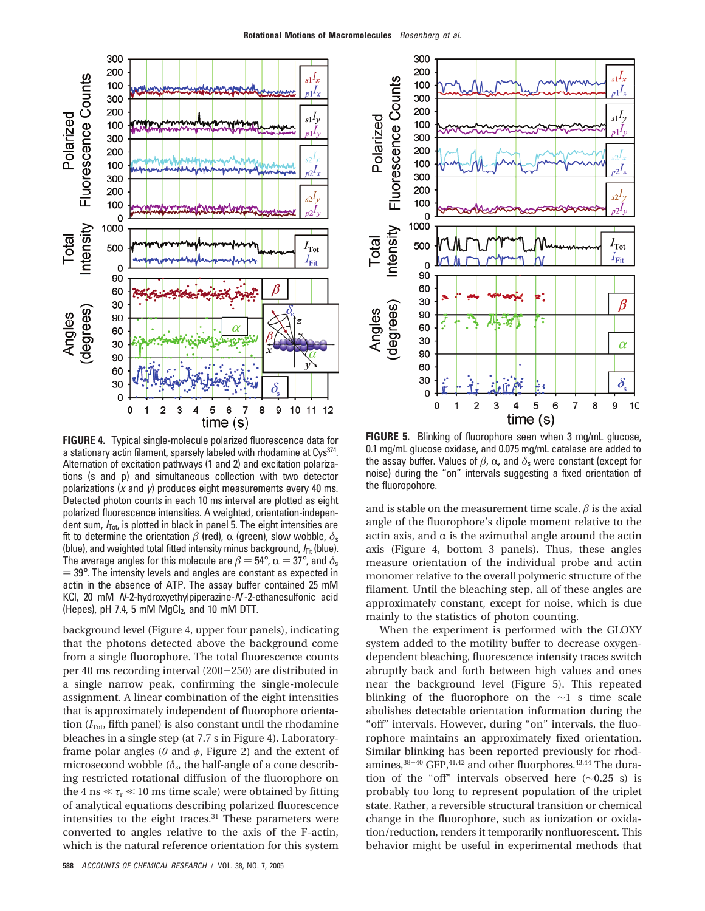

**FIGURE 4.** Typical single-molecule polarized fluorescence data for a stationary actin filament, sparsely labeled with rhodamine at Cys<sup>374</sup>. Alternation of excitation pathways (1 and 2) and excitation polarizations (s and p) and simultaneous collection with two detector polarizations  $(x \text{ and } y)$  produces eight measurements every 40 ms. Detected photon counts in each 10 ms interval are plotted as eight polarized fluorescence intensities. A weighted, orientation-independent sum,  $I_{\text{Tot}}$  is plotted in black in panel 5. The eight intensities are fit to determine the orientation  $\beta$  (red),  $\alpha$  (green), slow wobble,  $\delta_s$ (blue), and weighted total fitted intensity minus background,  $I_{Fit}$  (blue). The average angles for this molecule are  $\beta = 54^{\circ}$ ,  $\alpha = 37^{\circ}$ , and  $\delta_s$  $=$  39 $^{\circ}$ . The intensity levels and angles are constant as expected in actin in the absence of ATP. The assay buffer contained 25 mM KCl, 20 mM N-2-hydroxyethylpiperazine-N′-2-ethanesulfonic acid (Hepes), pH 7.4, 5 mM  $MgCl<sub>2</sub>$ , and 10 mM DTT.

background level (Figure 4, upper four panels), indicating that the photons detected above the background come from a single fluorophore. The total fluorescence counts per 40 ms recording interval (200-250) are distributed in a single narrow peak, confirming the single-molecule assignment. A linear combination of the eight intensities that is approximately independent of fluorophore orientation  $(I_{\text{Tot}})$ , fifth panel) is also constant until the rhodamine bleaches in a single step (at 7.7 s in Figure 4). Laboratoryframe polar angles (*θ* and *φ*, Figure 2) and the extent of microsecond wobble  $(\delta_s)$ , the half-angle of a cone describing restricted rotational diffusion of the fluorophore on the 4 ns  $\ll \tau_r \ll 10$  ms time scale) were obtained by fitting of analytical equations describing polarized fluorescence intensities to the eight traces.<sup>31</sup> These parameters were converted to angles relative to the axis of the F-actin, which is the natural reference orientation for this system



**FIGURE 5.** Blinking of fluorophore seen when 3 mg/mL glucose, 0.1 mg/mL glucose oxidase, and 0.075 mg/mL catalase are added to the assay buffer. Values of  $β$ ,  $α$ , and  $δ$ <sub>s</sub> were constant (except for noise) during the "on" intervals suggesting a fixed orientation of the fluoropohore.

and is stable on the measurement time scale.  $\beta$  is the axial angle of the fluorophore's dipole moment relative to the actin axis, and  $\alpha$  is the azimuthal angle around the actin axis (Figure 4, bottom 3 panels). Thus, these angles measure orientation of the individual probe and actin monomer relative to the overall polymeric structure of the filament. Until the bleaching step, all of these angles are approximately constant, except for noise, which is due mainly to the statistics of photon counting.

When the experiment is performed with the GLOXY system added to the motility buffer to decrease oxygendependent bleaching, fluorescence intensity traces switch abruptly back and forth between high values and ones near the background level (Figure 5). This repeated blinking of the fluorophore on the ∼1 s time scale abolishes detectable orientation information during the "off" intervals. However, during "on" intervals, the fluorophore maintains an approximately fixed orientation. Similar blinking has been reported previously for rhodamines,  $38-40$  GFP,  $41,42$  and other fluorphores.  $43,44$  The duration of the "off" intervals observed here (∼0.25 s) is probably too long to represent population of the triplet state. Rather, a reversible structural transition or chemical change in the fluorophore, such as ionization or oxidation/reduction, renders it temporarily nonfluorescent. This behavior might be useful in experimental methods that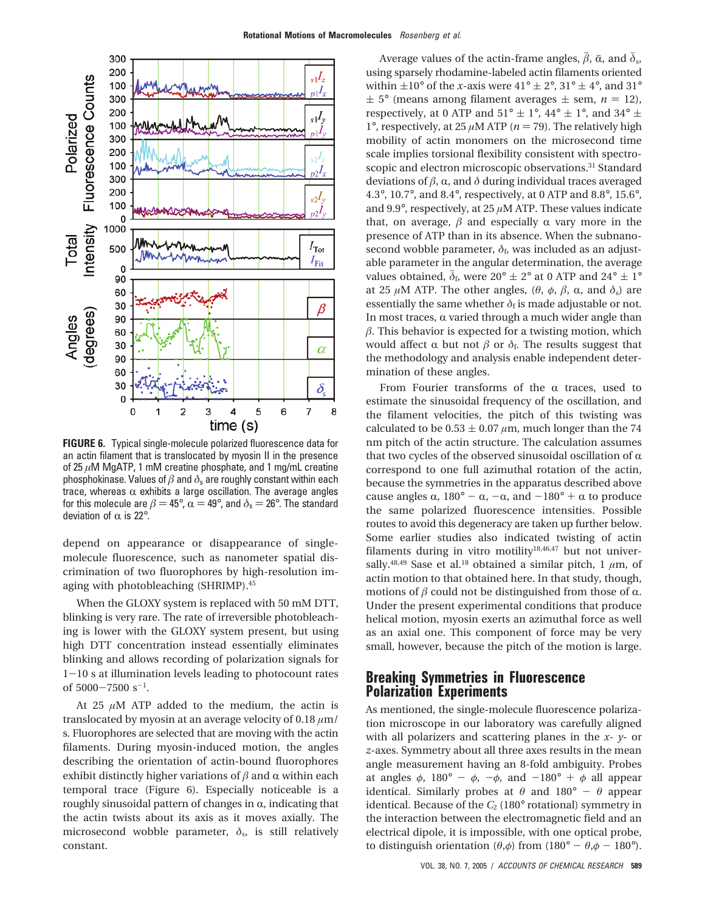

**FIGURE 6.** Typical single-molecule polarized fluorescence data for an actin filament that is translocated by myosin II in the presence of 25 *µ*M MgATP, 1 mM creatine phosphate, and 1 mg/mL creatine phosphokinase. Values of *â* and *δ*<sup>s</sup> are roughly constant within each trace, whereas  $\alpha$  exhibits a large oscillation. The average angles for this molecule are  $\beta = 45^{\circ}$ ,  $\alpha = 49^{\circ}$ , and  $\delta_s = 26^{\circ}$ . The standard deviation of  $\alpha$  is 22°.

depend on appearance or disappearance of singlemolecule fluorescence, such as nanometer spatial discrimination of two fluorophores by high-resolution imaging with photobleaching (SHRIMP).45

When the GLOXY system is replaced with 50 mM DTT, blinking is very rare. The rate of irreversible photobleaching is lower with the GLOXY system present, but using high DTT concentration instead essentially eliminates blinking and allows recording of polarization signals for  $1-10$  s at illumination levels leading to photocount rates of  $5000 - 7500$  s<sup>-1</sup>.

At 25  $\mu$ M ATP added to the medium, the actin is translocated by myosin at an average velocity of 0.18 *µ*m/ s. Fluorophores are selected that are moving with the actin filaments. During myosin-induced motion, the angles describing the orientation of actin-bound fluorophores exhibit distinctly higher variations of  $\beta$  and  $\alpha$  within each temporal trace (Figure 6). Especially noticeable is a roughly sinusoidal pattern of changes in  $\alpha$ , indicating that the actin twists about its axis as it moves axially. The microsecond wobble parameter,  $\delta_{s}$ , is still relatively constant.

Average values of the actin-frame angles,  $\bar{\beta}$ ,  $\bar{\alpha}$ , and  $\bar{\delta}_s$ , using sparsely rhodamine-labeled actin filaments oriented within  $\pm 10^{\circ}$  of the *x*-axis were  $41^{\circ} \pm 2^{\circ}$ ,  $31^{\circ} \pm 4^{\circ}$ , and  $31^{\circ}$  $\pm$  5° (means among filament averages  $\pm$  sem, *n* = 12), respectively, at 0 ATP and  $51^{\circ} \pm 1^{\circ}$ , 44°  $\pm 1^{\circ}$ , and 34°  $\pm$ 1°, respectively, at 25  $\mu$ M ATP ( $n = 79$ ). The relatively high mobility of actin monomers on the microsecond time scale implies torsional flexibility consistent with spectroscopic and electron microscopic observations.<sup>31</sup> Standard deviations of  $β$ ,  $α$ , and  $δ$  during individual traces averaged 4.3°, 10.7°, and 8.4°, respectively, at 0 ATP and 8.8°, 15.6°, and 9.9°, respectively, at 25 *µ*M ATP. These values indicate that, on average,  $\beta$  and especially  $\alpha$  vary more in the presence of ATP than in its absence. When the subnanosecond wobble parameter,  $\delta_f$ , was included as an adjustable parameter in the angular determination, the average values obtained,  $\bar{\delta}_f$ , were 20°  $\pm$  2° at 0 ATP and 24°  $\pm$  1° at 25  $\mu$ M ATP. The other angles, (θ, φ, β, α, and  $\delta$ <sub>s</sub>) are essentially the same whether  $\delta_f$  is made adjustable or not. In most traces,  $\alpha$  varied through a much wider angle than  $\beta$ . This behavior is expected for a twisting motion, which would affect  $\alpha$  but not  $\beta$  or  $\delta_f$ . The results suggest that the methodology and analysis enable independent determination of these angles.

From Fourier transforms of the  $\alpha$  traces, used to estimate the sinusoidal frequency of the oscillation, and the filament velocities, the pitch of this twisting was calculated to be  $0.53 \pm 0.07 \mu m$ , much longer than the 74 nm pitch of the actin structure. The calculation assumes that two cycles of the observed sinusoidal oscillation of  $\alpha$ correspond to one full azimuthal rotation of the actin, because the symmetries in the apparatus described above cause angles  $\alpha$ , 180° -  $\alpha$ , - $\alpha$ , and -180° +  $\alpha$  to produce the same polarized fluorescence intensities. Possible routes to avoid this degeneracy are taken up further below. Some earlier studies also indicated twisting of actin filaments during in vitro motility<sup>18,46,47</sup> but not universally.<sup>48,49</sup> Sase et al.<sup>18</sup> obtained a similar pitch, 1  $\mu$ m, of actin motion to that obtained here. In that study, though, motions of  $\beta$  could not be distinguished from those of  $\alpha$ . Under the present experimental conditions that produce helical motion, myosin exerts an azimuthal force as well as an axial one. This component of force may be very small, however, because the pitch of the motion is large.

## **Breaking Symmetries in Fluorescence Polarization Experiments**

As mentioned, the single-molecule fluorescence polarization microscope in our laboratory was carefully aligned with all polarizers and scattering planes in the *x*- *y*- or *z*-axes. Symmetry about all three axes results in the mean angle measurement having an 8-fold ambiguity. Probes at angles  $\phi$ , 180° -  $\phi$ , - $\phi$ , and -180° +  $\phi$  all appear identical. Similarly probes at  $\theta$  and  $180^\circ - \theta$  appear identical. Because of the  $C_2$  (180 $\textdegree$  rotational) symmetry in the interaction between the electromagnetic field and an electrical dipole, it is impossible, with one optical probe, to distinguish orientation ( $\theta$ , $\phi$ ) from (180° -  $\theta$ , $\phi$  - 180°).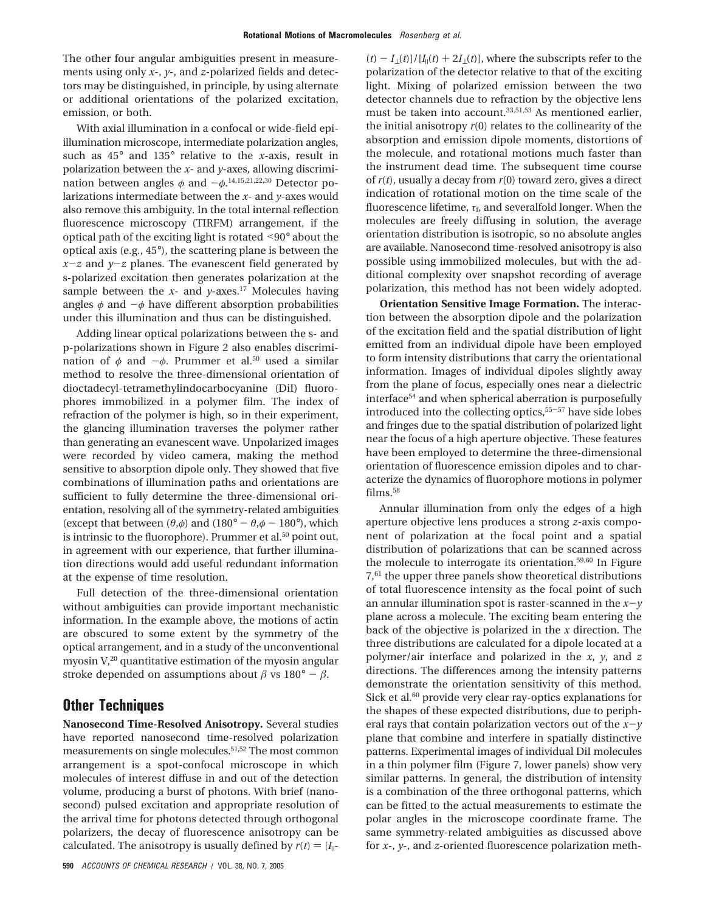The other four angular ambiguities present in measurements using only *x*-, *y*-, and *z*-polarized fields and detectors may be distinguished, in principle, by using alternate or additional orientations of the polarized excitation, emission, or both.

With axial illumination in a confocal or wide-field epiillumination microscope, intermediate polarization angles, such as 45° and 135° relative to the *x*-axis, result in polarization between the *x*- and *y*-axes, allowing discrimination between angles φ and −φ.<sup>14,15,21,22,30</sup> Detector po-<br>larizations intermediate between the x, and y axes would larizations intermediate between the *x*- and *y*-axes would also remove this ambiguity. In the total internal reflection fluorescence microscopy (TIRFM) arrangement, if the optical path of the exciting light is rotated <90° about the optical axis (e.g., 45°), the scattering plane is between the  $x-z$  and  $y-z$  planes. The evanescent field generated by s-polarized excitation then generates polarization at the sample between the  $x$ - and  $y$ -axes.<sup>17</sup> Molecules having angles  $\phi$  and  $-\phi$  have different absorption probabilities under this illumination and thus can be distinguished.

Adding linear optical polarizations between the s- and p-polarizations shown in Figure 2 also enables discrimination of  $\phi$  and  $-\phi$ . Prummer et al.<sup>50</sup> used a similar method to resolve the three-dimensional orientation of dioctadecyl-tetramethylindocarbocyanine (DiI) fluorophores immobilized in a polymer film. The index of refraction of the polymer is high, so in their experiment, the glancing illumination traverses the polymer rather than generating an evanescent wave. Unpolarized images were recorded by video camera, making the method sensitive to absorption dipole only. They showed that five combinations of illumination paths and orientations are sufficient to fully determine the three-dimensional orientation, resolving all of the symmetry-related ambiguities (except that between  $(\theta, \phi)$  and  $(180^\circ - \theta, \phi - 180^\circ)$ ), which is intrinsic to the fluorophore). Prummer et al.<sup>50</sup> point out, in agreement with our experience, that further illumination directions would add useful redundant information at the expense of time resolution.

Full detection of the three-dimensional orientation without ambiguities can provide important mechanistic information. In the example above, the motions of actin are obscured to some extent by the symmetry of the optical arrangement, and in a study of the unconventional myosin  $V<sub>1</sub><sup>20</sup>$  quantitative estimation of the myosin angular stroke depended on assumptions about  $\beta$  vs  $180^\circ - \beta$ .

## **Other Techniques**

**Nanosecond Time-Resolved Anisotropy.** Several studies have reported nanosecond time-resolved polarization measurements on single molecules.<sup>51,52</sup> The most common arrangement is a spot-confocal microscope in which molecules of interest diffuse in and out of the detection volume, producing a burst of photons. With brief (nanosecond) pulsed excitation and appropriate resolution of the arrival time for photons detected through orthogonal polarizers, the decay of fluorescence anisotropy can be calculated. The anisotropy is usually defined by  $r(t) = [I_{\parallel} - I_{\parallel}]$ 

 $(t) - I_{\perp}(t)/[I_{\parallel}(t) + 2I_{\perp}(t)]$ , where the subscripts refer to the polarization of the detector relative to that of the exciting light. Mixing of polarized emission between the two detector channels due to refraction by the objective lens must be taken into account.33,51,53 As mentioned earlier, the initial anisotropy *r*(0) relates to the collinearity of the absorption and emission dipole moments, distortions of the molecule, and rotational motions much faster than the instrument dead time. The subsequent time course of *r*(*t*), usually a decay from *r*(0) toward zero, gives a direct indication of rotational motion on the time scale of the fluorescence lifetime,  $\tau_f$ , and severalfold longer. When the molecules are freely diffusing in solution, the average orientation distribution is isotropic, so no absolute angles are available. Nanosecond time-resolved anisotropy is also possible using immobilized molecules, but with the additional complexity over snapshot recording of average polarization, this method has not been widely adopted.

**Orientation Sensitive Image Formation.** The interaction between the absorption dipole and the polarization of the excitation field and the spatial distribution of light emitted from an individual dipole have been employed to form intensity distributions that carry the orientational information. Images of individual dipoles slightly away from the plane of focus, especially ones near a dielectric interface<sup>54</sup> and when spherical aberration is purposefully introduced into the collecting optics,55-<sup>57</sup> have side lobes and fringes due to the spatial distribution of polarized light near the focus of a high aperture objective. These features have been employed to determine the three-dimensional orientation of fluorescence emission dipoles and to characterize the dynamics of fluorophore motions in polymer films.<sup>58</sup>

Annular illumination from only the edges of a high aperture objective lens produces a strong *z*-axis component of polarization at the focal point and a spatial distribution of polarizations that can be scanned across the molecule to interrogate its orientation.59,60 In Figure 7,61 the upper three panels show theoretical distributions of total fluorescence intensity as the focal point of such an annular illumination spot is raster-scanned in the  $x-y$ plane across a molecule. The exciting beam entering the back of the objective is polarized in the *x* direction. The three distributions are calculated for a dipole located at a polymer/air interface and polarized in the *x*, *y*, and *z* directions. The differences among the intensity patterns demonstrate the orientation sensitivity of this method. Sick et al.<sup>60</sup> provide very clear ray-optics explanations for the shapes of these expected distributions, due to peripheral rays that contain polarization vectors out of the  $x-y$ plane that combine and interfere in spatially distinctive patterns. Experimental images of individual DiI molecules in a thin polymer film (Figure 7, lower panels) show very similar patterns. In general, the distribution of intensity is a combination of the three orthogonal patterns, which can be fitted to the actual measurements to estimate the polar angles in the microscope coordinate frame. The same symmetry-related ambiguities as discussed above for *x*-, *y*-, and *z*-oriented fluorescence polarization meth-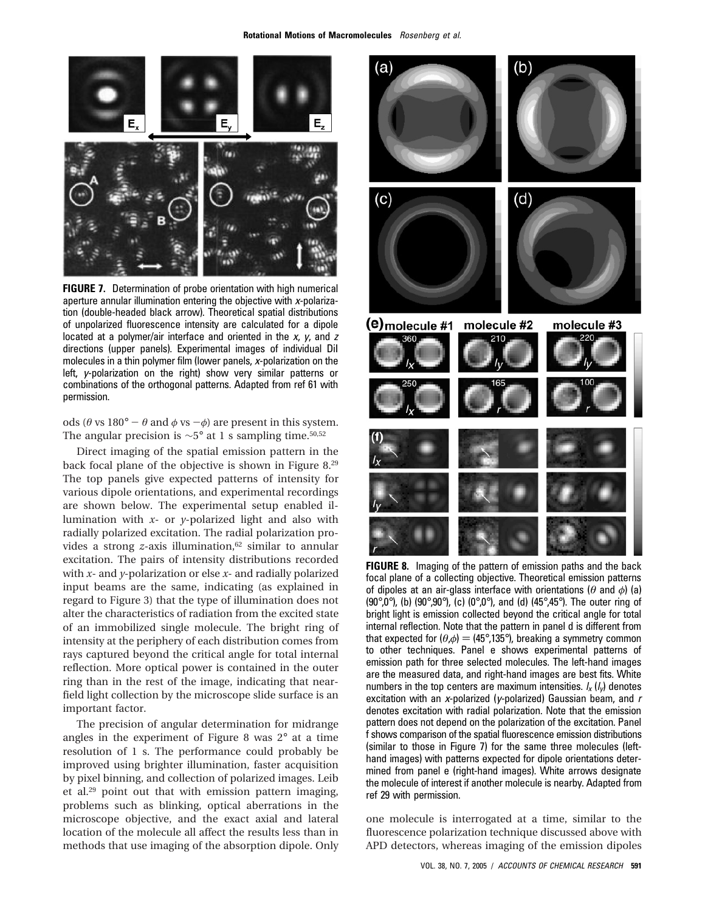

**FIGURE 7.** Determination of probe orientation with high numerical aperture annular illumination entering the objective with <sup>x</sup>-polarization (double-headed black arrow). Theoretical spatial distributions of unpolarized fluorescence intensity are calculated for a dipole located at a polymer/air interface and oriented in the  $x$ ,  $y$ , and  $z$ directions (upper panels). Experimental images of individual DiI molecules in a thin polymer film (lower panels, <sup>x</sup>-polarization on the left, <sup>y</sup>-polarization on the right) show very similar patterns or combinations of the orthogonal patterns. Adapted from ref 61 with permission.

ods ( $\theta$  vs 180° -  $\theta$  and  $\phi$  vs - $\phi$ ) are present in this system. The angular precision is  $\sim$ 5° at 1 s sampling time.<sup>50,52</sup>

Direct imaging of the spatial emission pattern in the back focal plane of the objective is shown in Figure 8.29 The top panels give expected patterns of intensity for various dipole orientations, and experimental recordings are shown below. The experimental setup enabled illumination with *x*- or *y*-polarized light and also with radially polarized excitation. The radial polarization provides a strong *z*-axis illumination,<sup>62</sup> similar to annular excitation. The pairs of intensity distributions recorded with *x*- and *y*-polarization or else *x*- and radially polarized input beams are the same, indicating (as explained in regard to Figure 3) that the type of illumination does not alter the characteristics of radiation from the excited state of an immobilized single molecule. The bright ring of intensity at the periphery of each distribution comes from rays captured beyond the critical angle for total internal reflection. More optical power is contained in the outer ring than in the rest of the image, indicating that nearfield light collection by the microscope slide surface is an important factor.

The precision of angular determination for midrange angles in the experiment of Figure 8 was 2° at a time resolution of 1 s. The performance could probably be improved using brighter illumination, faster acquisition by pixel binning, and collection of polarized images. Leib et al.29 point out that with emission pattern imaging, problems such as blinking, optical aberrations in the microscope objective, and the exact axial and lateral location of the molecule all affect the results less than in methods that use imaging of the absorption dipole. Only



**FIGURE 8.** Imaging of the pattern of emission paths and the back focal plane of a collecting objective. Theoretical emission patterns of dipoles at an air-glass interface with orientations (*θ* and *φ*) (a) (90 $^{\circ}$ ,0 $^{\circ}$ ), (b) (90 $^{\circ}$ ,90 $^{\circ}$ ), (c) (0 $^{\circ}$ ,0 $^{\circ}$ ), and (d) (45 $^{\circ}$ ,45 $^{\circ}$ ). The outer ring of bright light is emission collected beyond the critical angle for total internal reflection. Note that the pattern in panel d is different from that expected for  $(\theta, \phi) = (45^{\circ}, 135^{\circ})$ , breaking a symmetry common to other techniques. Panel e shows experimental patterns of emission path for three selected molecules. The left-hand images are the measured data, and right-hand images are best fits. White numbers in the top centers are maximum intensities.  $I_x (I_y)$  denotes excitation with an x-polarized (y-polarized) Gaussian beam, and  $r$ denotes excitation with radial polarization. Note that the emission pattern does not depend on the polarization of the excitation. Panel f shows comparison of the spatial fluorescence emission distributions (similar to those in Figure 7) for the same three molecules (lefthand images) with patterns expected for dipole orientations determined from panel e (right-hand images). White arrows designate the molecule of interest if another molecule is nearby. Adapted from ref 29 with permission.

one molecule is interrogated at a time, similar to the fluorescence polarization technique discussed above with APD detectors, whereas imaging of the emission dipoles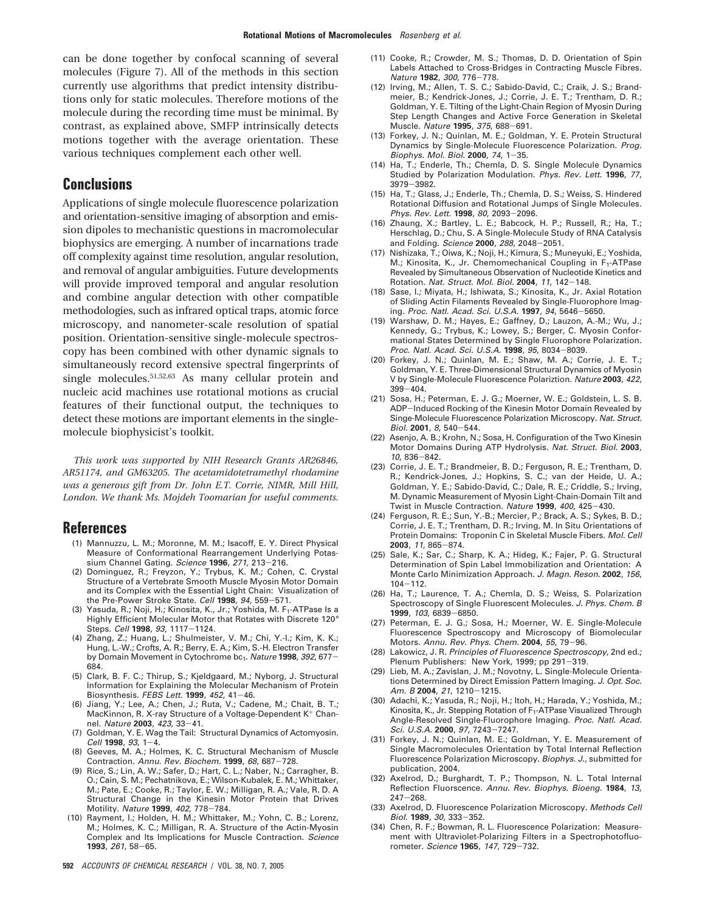can be done together by confocal scanning of several molecules (Figure 7). All of the methods in this section currently use algorithms that predict intensity distributions only for static molecules. Therefore motions of the molecule during the recording time must be minimal. By contrast, as explained above, SMFP intrinsically detects motions together with the average orientation. These various techniques complement each other well.

## **Conclusions**

Applications of single molecule fluorescence polarization and orientation-sensitive imaging of absorption and emission dipoles to mechanistic questions in macromolecular biophysics are emerging. A number of incarnations trade off complexity against time resolution, angular resolution, and removal of angular ambiguities. Future developments will provide improved temporal and angular resolution and combine angular detection with other compatible methodologies, such as infrared optical traps, atomic force microscopy, and nanometer-scale resolution of spatial position. Orientation-sensitive single-molecule spectroscopy has been combined with other dynamic signals to simultaneously record extensive spectral fingerprints of single molecules.<sup>51,52,63</sup> As many cellular protein and nucleic acid machines use rotational motions as crucial features of their functional output, the techniques to detect these motions are important elements in the singlemolecule biophysicist's toolkit.

*This work was supported by NIH Research Grants AR26846, AR51174, and GM63205. The acetamidotetramethyl rhodamine was a generous gift from Dr. John E.T. Corrie, NIMR, Mill Hill, London. We thank Ms. Mojdeh Toomarian for useful comments.*

#### **References**

- (1) Mannuzzu, L. M.; Moronne, M. M.; Isacoff, E. Y. Direct Physical Measure of Conformational Rearrangement Underlying Potassium Channel Gating. Science **<sup>1996</sup>**, <sup>271</sup>, 213-216.
- (2) Dominguez, R.; Freyzon, Y.; Trybus, K. M.; Cohen, C. Crystal Structure of a Vertebrate Smooth Muscle Myosin Motor Domain and its Complex with the Essential Light Chain: Visualization of the Pre-Power Stroke State. Cell **<sup>1998</sup>**, <sup>94</sup>, 559-571.
- (3) Yasuda, R.; Noji, H.; Kinosita, K., Jr.; Yoshida, M. F<sub>1</sub>-ATPase Is a Highly Efficient Molecular Motor that Rotates with Discrete 120°<br>Steps. Cell 1998, 93, 1117-1124.
- Steps. Cell **<sup>1998</sup>**, <sup>93</sup>, 1117-1124. (4) Zhang, Z.; Huang, L.; Shulmeister, V. M.; Chi, Y.-I.; Kim, K. K.; Hung, L.-W.; Crofts, A. R.; Berry, E. A.; Kim, S.-H. Electron Transfer by Domain Movement in Cytochrome bc<sub>1</sub>. Nature 1998, 392, 677-684.
- (5) Clark, B. F. C.; Thirup, S.; Kjeldgaard, M.; Nyborg, J. Structural Information for Explaining the Molecular Mechanism of Protein Biosynthesis. FEBS Lett. **<sup>1999</sup>**, <sup>452</sup>, 41-46.
- (6) Jiang, Y.; Lee, A.; Chen, J.; Ruta, V.; Cadene, M.; Chait, B. T.; MacKinnon, R. X-ray Structure of a Voltage-Dependent K<sup>+</sup> Chan-nel. Nature 2003. 423. 33-41. nel. Nature **<sup>2003</sup>**, <sup>423</sup>, 33-41. (7) Goldman, Y. E. Wag the Tail: Structural Dynamics of Actomyosin.
- Cell **<sup>1998</sup>**, <sup>93</sup>, 1-4.
- (8) Geeves, M. A.; Holmes, K. C. Structural Mechanism of Muscle Contraction. Annu. Rev. Biochem. **<sup>1999</sup>**, <sup>68</sup>, 687-728.
- (9) Rice, S.; Lin, A. W.; Safer, D.; Hart, C. L.; Naber, N.; Carragher, B. O.; Cain, S. M.; Pechatnikova, E.; Wilson-Kubalek, E. M.; Whittaker, M.; Pate, E.; Cooke, R.; Taylor, E. W.; Milligan, R. A.; Vale, R. D. A Structural Change in the Kinesin Motor Protein that Drives Motility. Nature **<sup>1999</sup>**, <sup>402</sup>, 778-784.
- (10) Rayment, I.; Holden, H. M.; Whittaker, M.; Yohn, C. B.; Lorenz, M.; Holmes, K. C.; Milligan, R. A. Structure of the Actin-Myosin Complex and Its Implications for Muscle Contraction. Science **<sup>1993</sup>**, <sup>261</sup>, 58-65.
- (11) Cooke, R.; Crowder, M. S.; Thomas, D. D. Orientation of Spin Labels Attached to Cross-Bridges in Contracting Muscle Fibres. Nature **<sup>1982</sup>**, <sup>300</sup>, 776-778.
- (12) Irving, M.; Allen, T. S. C.; Sabido-David, C.; Craik, J. S.; Brandmeier, B.; Kendrick-Jones, J.; Corrie, J. E. T.; Trentham, D. R.; Goldman, Y. E. Tilting of the Light-Chain Region of Myosin During Step Length Changes and Active Force Generation in Skeletal Muscle. Nature **<sup>1995</sup>**, <sup>375</sup>, 688-691.
- (13) Forkey, J. N.; Quinlan, M. E.; Goldman, Y. E. Protein Structural Dynamics by Single-Molecule Fluorescence Polarization. Prog. Biophys. Mol. Biol. **<sup>2000</sup>**, <sup>74</sup>, 1-35.
- (14) Ha, T.; Enderle, Th.; Chemla, D. S. Single Molecule Dynamics Studied by Polarization Modulation. Phys. Rev. Lett. **1996**, <sup>77</sup>, <sup>3979</sup>-3982.
- (15) Ha, T.; Glass, J.; Enderle, Th.; Chemla, D. S.; Weiss, S. Hindered Rotational Diffusion and Rotational Jumps of Single Molecules. Phys. Rev. Lett. **<sup>1998</sup>**, <sup>80</sup>, 2093-2096.
- (16) Zhaung, X.; Bartley, L. E.; Babcock, H. P.; Russell, R.; Ha, T.; Herschlag, D.; Chu, S. A Single-Molecule Study of RNA Catalysis
- and Folding. Science **<sup>2000</sup>**, <sup>288</sup>, 2048-2051. (17) Nishizaka, T.; Oiwa, K.; Noji, H.; Kimura, S.; Muneyuki, E.; Yoshida, M.; Kinosita, K., Jr. Chemomechanical Coupling in F<sub>1</sub>-ATPase Revealed by Simultaneous Observation of Nucleotide Kinetics and Rotation. Nat. Struct. Mol. Biol. **<sup>2004</sup>**, <sup>11</sup>, 142-148.
- (18) Sase, I.; Miyata, H.; Ishiwata, S.; Kinosita, K., Jr. Axial Rotation of Sliding Actin Filaments Revealed by Single-Fluorophore Imaging. Proc. Natl. Acad. Sci. U.S.A. **<sup>1997</sup>**, <sup>94</sup>, 5646-5650.
- (19) Warshaw, D. M.; Hayes, E.; Gaffney, D.; Lauzon, A.-M.; Wu, J.; Kennedy, G.; Trybus, K.; Lowey, S.; Berger, C. Myosin Conformational States Determined by Single Fluorophore Polarization. Proc. Natl. Acad. Sci. U.S.A. **<sup>1998</sup>**, <sup>95</sup>, 8034-8039.
- (20) Forkey, J. N.; Quinlan, M. E.; Shaw, M. A.; Corrie, J. E. T.; Goldman, Y. E. Three-Dimensional Structural Dynamics of Myosin V by Single-Molecule Fluorescence Polariztion. Nature **2003**, 422, <sup>399</sup>-404. (21) Sosa, H.; Peterman, E. J. G.; Moerner, W. E.; Goldstein, L. S. B.
- ADP-Induced Rocking of the Kinesin Motor Domain Revealed by Singe-Molecule Fluorescence Polarization Microscopy. Nat. Struct. Biol. **<sup>2001</sup>**, <sup>8</sup>, 540-544.
- (22) Asenjo, A. B.; Krohn, N.; Sosa, H. Configuration of the Two Kinesin Motor Domains During ATP Hydrolysis. Nat. Struct. Biol. **2003**, <sup>10</sup>, 836-842.
- (23) Corrie, J. E. T.; Brandmeier, B. D.; Ferguson, R. E.; Trentham, D. R.; Kendrick-Jones, J.; Hopkins, S. C.; van der Heide, U. A.; Goldman, Y. E.; Sabido-David, C.; Dale, R. E.; Criddle, S.; Irving, M. Dynamic Measurement of Myosin Light-Chain-Domain Tilt and Twist in Muscle Contraction. Nature **<sup>1999</sup>**, <sup>400</sup>, 425-430.
- (24) Ferguson, R. E.; Sun, Y.-B.; Mercier, P.; Brack, A. S.; Sykes, B. D.; Corrie, J. E. T.; Trentham, D. R.; Irving, M. In Situ Orientations of Protein Domains: Troponin C in Skeletal Muscle Fibers. Mol. Cell **<sup>2003</sup>**, <sup>11</sup>, 865-874. (25) Sale, K.; Sar, C.; Sharp, K. A.; Hideg, K.; Fajer, P. G. Structural
- Determination of Spin Label Immobilization and Orientation: A Monte Carlo Minimization Approach. J. Magn. Reson. **2002**, 156,
- <sup>104</sup>-112. (26) Ha, T.; Laurence, T. A.; Chemla, D. S.; Weiss, S. Polarization Spectroscopy of Single Fluorescent Molecules. J. Phys. Chem. B **<sup>1999</sup>**, <sup>103</sup>, 6839-6850.
- (27) Peterman, E. J. G.; Sosa, H.; Moerner, W. E. Single-Molecule Fluorescence Spectroscopy and Microscopy of Biomolecular Motors. Annu. Rev. Phys. Chem. **<sup>2004</sup>**, <sup>55</sup>, 79-96.
- (28) Lakowicz, J. R. Principles of Fluorescence Spectroscopy, 2nd ed.; Plenum Publishers: New York, 1999; pp 291-319.
- (29) Lieb, M. A.; Zavislan, J. M.; Novotny, L. Single-Molecule Orientations Determined by Direct Emission Pattern Imaging. J. Opt. Soc. Am. <sup>B</sup> **<sup>2004</sup>**, <sup>21</sup>, 1210-1215.
- (30) Adachi, K.; Yasuda, R.; Noji, H.; Itoh, H.; Harada, Y.; Yoshida, M.; Kinosita, K., Jr. Stepping Rotation of F<sub>1</sub>-ATPase Visualized Through Angle-Resolved Single-Fluorophore Imaging. Proc. Natl. Acad. Sci. U.S.A. **<sup>2000</sup>**, <sup>97</sup>, 7243-7247.
- (31) Forkey, J. N.; Quinlan, M. E.; Goldman, Y. E. Measurement of Single Macromolecules Orientation by Total Internal Reflection Fluorescence Polarization Microscopy. Biophys. J., submitted for publication, 2004.
- (32) Axelrod, D.; Burghardt, T. P.; Thompson, N. L. Total Internal Reflection Fluorscence. Annu. Rev. Biophys. Bioeng. **1984**, 13,  $247 - 268.$
- (33) Axelrod, D. Fluorescence Polarization Microscopy. Methods Cell Biol. **1989**, 30, 333-352.<br>(34) Chen, R. F.; Bowman, R. L. Fluorescence Polarization: Measure-
- ment with Ultraviolet-Polarizing Filters in a Spectrophotofluorometer. Science **<sup>1965</sup>**, <sup>147</sup>, 729-732.